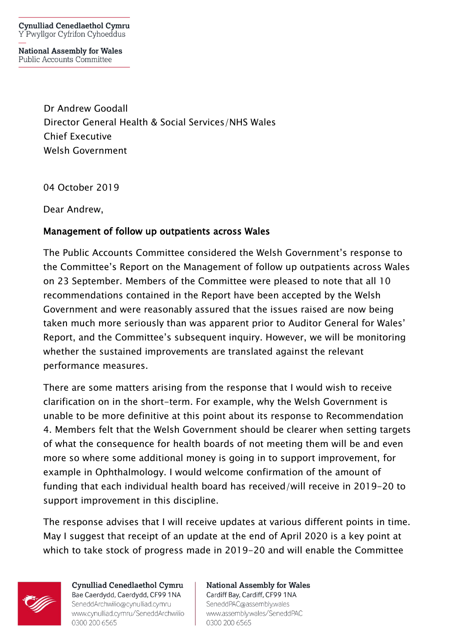**Cynulliad Cenedlaethol Cymru** Y Pwyllgor Cyfrifon Cyhoeddus

**National Assembly for Wales** Public Accounts Committee

> Dr Andrew Goodall Director General Health & Social Services/NHS Wales Chief Executive Welsh Government

04 October 2019

Dear Andrew,

## Management of follow up outpatients across Wales

The Public Accounts Committee considered the Welsh Government's response to the Committee's Report on the Management of follow up outpatients across Wales on 23 September. Members of the Committee were pleased to note that all 10 recommendations contained in the Report have been accepted by the Welsh Government and were reasonably assured that the issues raised are now being taken much more seriously than was apparent prior to Auditor General for Wales' Report, and the Committee's subsequent inquiry. However, we will be monitoring whether the sustained improvements are translated against the relevant performance measures.

There are some matters arising from the response that I would wish to receive clarification on in the short-term. For example, why the Welsh Government is unable to be more definitive at this point about its response to Recommendation 4. Members felt that the Welsh Government should be clearer when setting targets of what the consequence for health boards of not meeting them will be and even more so where some additional money is going in to support improvement, for example in Ophthalmology. I would welcome confirmation of the amount of funding that each individual health board has received/will receive in 2019-20 to support improvement in this discipline.

The response advises that I will receive updates at various different points in time. May I suggest that receipt of an update at the end of April 2020 is a key point at which to take stock of progress made in 2019-20 and will enable the Committee



Cynulliad Cenedlaethol Cymru Bae Caerdydd, Caerdydd, CF99 1NA SeneddArchwilio@cynulliad.cymru www.cynulliad.cymru/SeneddArchwilio 0300 200 6565

**National Assembly for Wales** Cardiff Bay, Cardiff, CF99 1NA SeneddPAC@assembly.wales www.assembly.wales/SeneddPAC 0300 200 6565